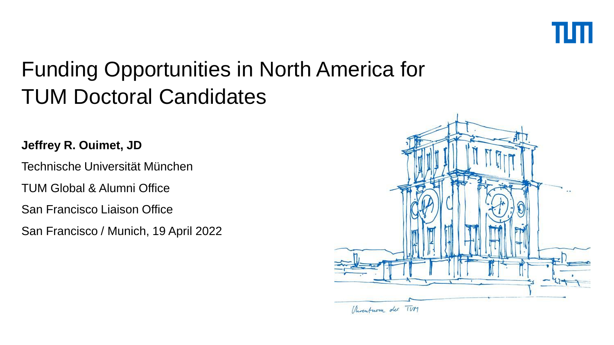

**Jeffrey R. Ouimet, JD**

Technische Universität München

TUM Global & Alumni Office

San Francisco Liaison Office

San Francisco / Munich, 19 April 2022

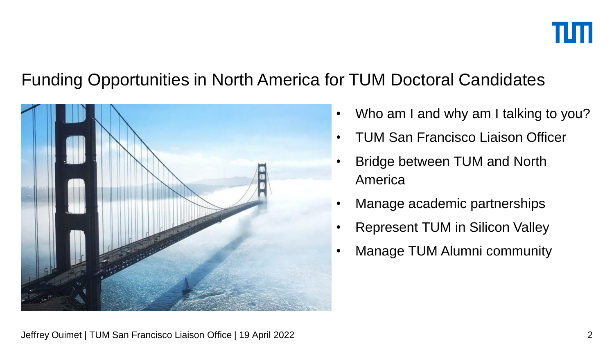

- Who am I and why am I talking to you?
- TUM San Francisco Liaison Officer
- Bridge between TUM and North America
- Manage academic partnerships
- Represent TUM in Silicon Valley
- Manage TUM Alumni community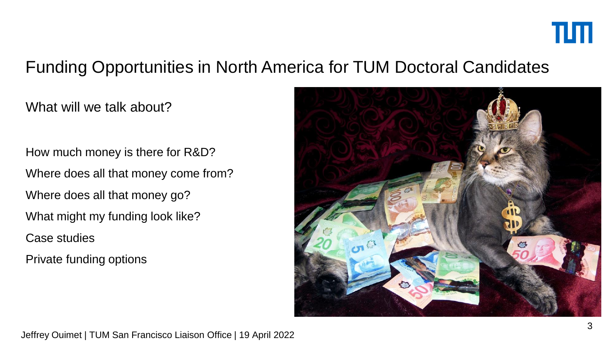

What will we talk about?

How much money is there for R&D? Where does all that money come from? Where does all that money go? What might my funding look like? Case studies Private funding options

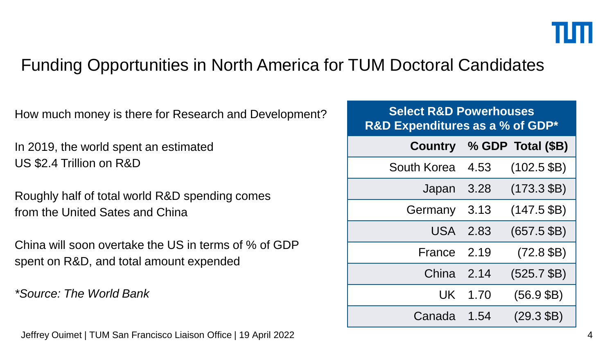How much money is there for Research and Development?

In 2019, the world spent an estimated US \$2.4 Trillion on R&D

Roughly half of total world R&D spending comes from the United Sates and China

China will soon overtake the US in terms of % of GDP spent on R&D, and total amount expended

*\*Source: The World Bank*

Jeffrey Ouimet | TUM San Francisco Liaison Office | 19 April 2022 4

| <b>Select R&amp;D Powerhouses</b><br>R&D Expenditures as a % of GDP* |      |                           |
|----------------------------------------------------------------------|------|---------------------------|
|                                                                      |      | Country % GDP Total (\$B) |
| South Korea                                                          | 4.53 | $(102.5$ \$B)             |
| Japan                                                                | 3.28 | $(173.3$ \$B)             |
| Germany                                                              | 3.13 | $(147.5$ \$B)             |
| USA 2.83                                                             |      | $(657.5$ \$B)             |
| France                                                               | 2.19 | $(72.8$ \$B)              |
| China 2.14                                                           |      | $(525.7$ \$B)             |
| UK                                                                   | 1.70 | $(56.9$ \$B)              |
| Canada                                                               | 1.54 | $(29.3 \text{ } \$B)$     |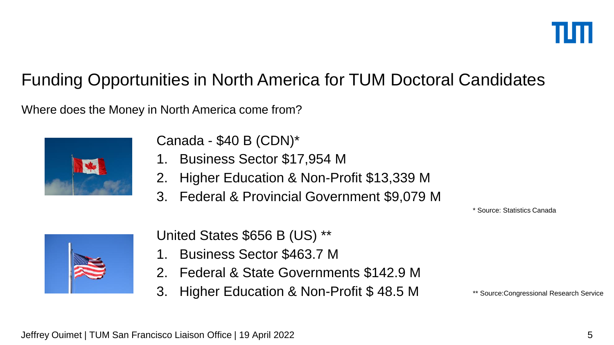Where does the Money in North America come from?



Canada - \$40 B (CDN)\*

- 1. Business Sector \$17,954 M
- 2. Higher Education & Non-Profit \$13,339 M
- 3. Federal & Provincial Government \$9,079 M

\* Source: Statistics Canada



United States \$656 B (US) \*\*

- 1. Business Sector \$463.7 M
- 2. Federal & State Governments \$142.9 M
- 3. Higher Education & Non-Profit \$ 48.5 M

\*\* Source:Congressional Research Service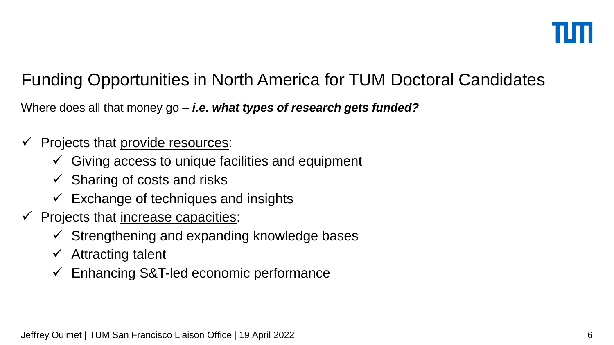Where does all that money go – *i.e. what types of research gets funded?*

- $\checkmark$  Projects that provide resources:
	- $\checkmark$  Giving access to unique facilities and equipment
	- $\checkmark$  Sharing of costs and risks
	- $\checkmark$  Exchange of techniques and insights
- $\checkmark$  Projects that increase capacities:
	- $\checkmark$  Strengthening and expanding knowledge bases
	- $\checkmark$  Attracting talent
	- $\checkmark$  Enhancing S&T-led economic performance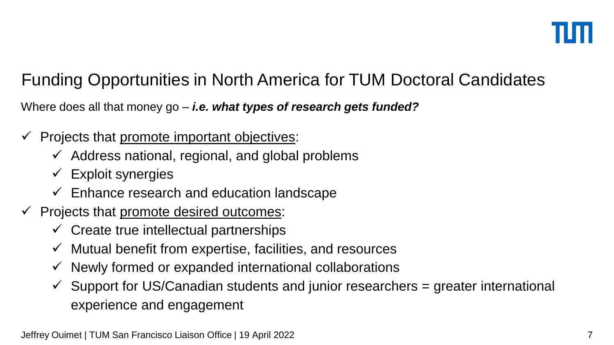Where does all that money go – *i.e. what types of research gets funded?*

- Projects that promote important objectives:
	- $\checkmark$  Address national, regional, and global problems
	- $\checkmark$  Exploit synergies
	- $\checkmark$  Enhance research and education landscape
- $\checkmark$  Projects that promote desired outcomes:
	- $\checkmark$  Create true intellectual partnerships
	- $\checkmark$  Mutual benefit from expertise, facilities, and resources
	- $\checkmark$  Newly formed or expanded international collaborations
	- $\checkmark$  Support for US/Canadian students and junior researchers = greater international experience and engagement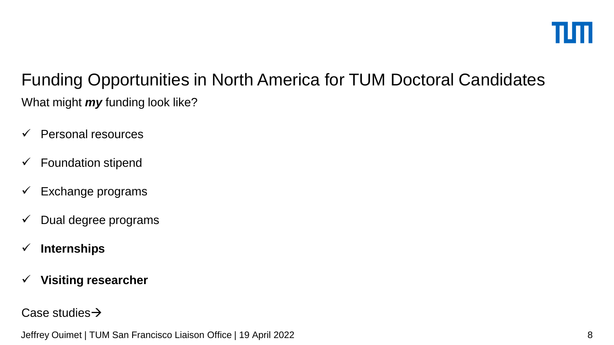# What might *my* funding look like? Funding Opportunities in North America for TUM Doctoral Candidates

- $\checkmark$  Personal resources
- $\checkmark$  Foundation stipend
- $\checkmark$  Exchange programs
- $\checkmark$  Dual degree programs
- **Internships**
- **Visiting researcher**

Case studies  $\rightarrow$ 

Jeffrey Ouimet | TUM San Francisco Liaison Office | 19 April 2022 8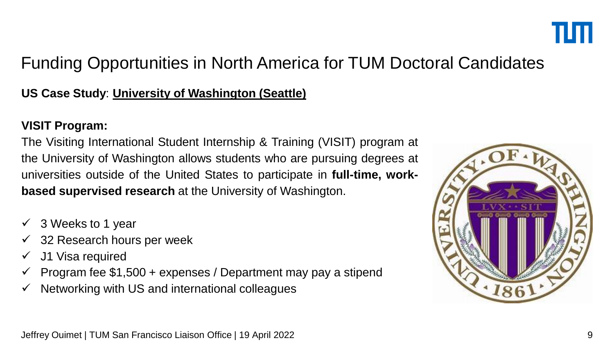

### **US Case Study**: **University of Washington (Seattle)**

#### **VISIT Program:**

The Visiting International Student Internship & Training (VISIT) program at the University of Washington allows students who are pursuing degrees at universities outside of the United States to participate in **full-time, workbased supervised research** at the University of Washington.

- $\checkmark$  3 Weeks to 1 year
- $\checkmark$  32 Research hours per week
- $\checkmark$  J1 Visa required
- $\checkmark$  Program fee \$1,500 + expenses / Department may pay a stipend
- $\checkmark$  Networking with US and international colleagues

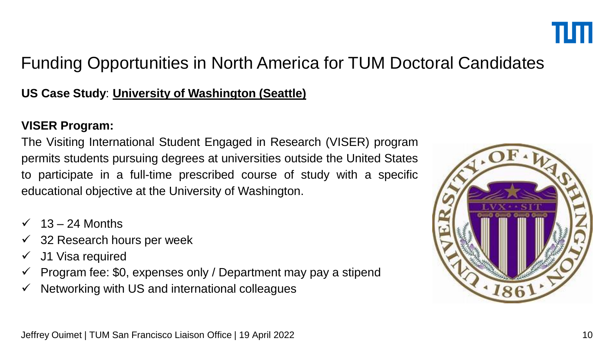

### **US Case Study**: **University of Washington (Seattle)**

#### **VISER Program:**

The Visiting International Student Engaged in Research (VISER) program permits students pursuing degrees at universities outside the United States to participate in a full-time prescribed course of study with a specific educational objective at the University of Washington.

- 13 24 Months
- $\checkmark$  32 Research hours per week
- $\checkmark$  J1 Visa required
- $\checkmark$  Program fee: \$0, expenses only / Department may pay a stipend
- $\checkmark$  Networking with US and international colleagues

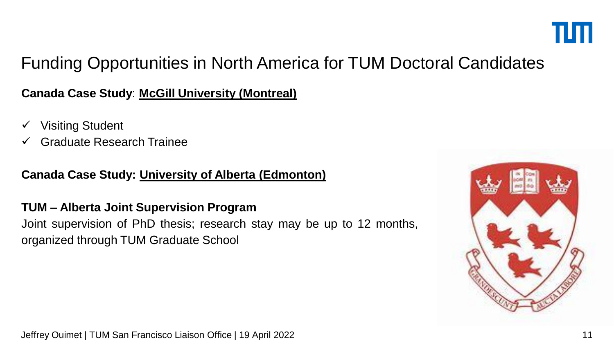

### **Canada Case Study**: **McGill University (Montreal)**

- Visiting Student
- Graduate Research Trainee

### **Canada Case Study: University of Alberta (Edmonton)**

### **TUM – Alberta Joint Supervision Program**

Joint supervision of PhD thesis; research stay may be up to 12 months, organized through TUM Graduate School

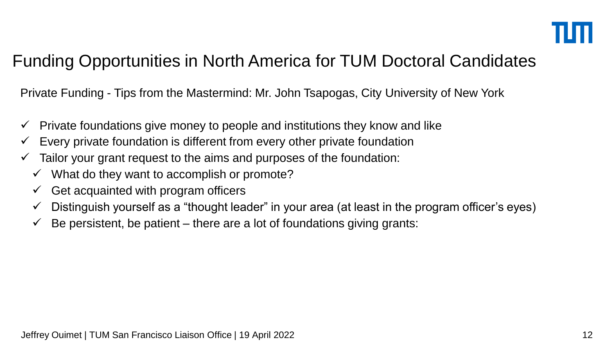Private Funding - Tips from the Mastermind: Mr. John Tsapogas, City University of New York

- $\checkmark$  Private foundations give money to people and institutions they know and like
- $\checkmark$  Every private foundation is different from every other private foundation
- $\checkmark$  Tailor your grant request to the aims and purposes of the foundation:
	- $\checkmark$  What do they want to accomplish or promote?
	- $\checkmark$  Get acquainted with program officers
	- $\checkmark$  Distinguish yourself as a "thought leader" in your area (at least in the program officer's eyes)
	- $\checkmark$  Be persistent, be patient there are a lot of foundations giving grants: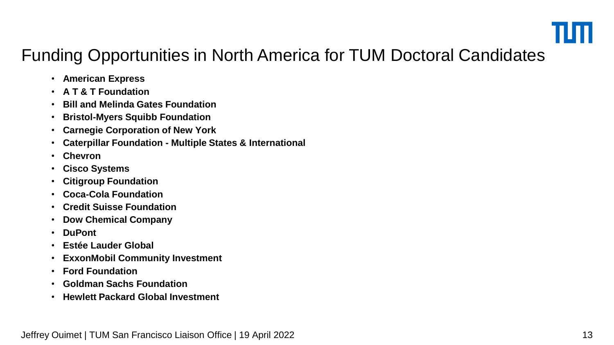

- **American Express**
- **A T & T Foundation**
- **Bill and Melinda Gates Foundation**
- **Bristol-Myers Squibb Foundation**
- **Carnegie Corporation of New York**
- **Caterpillar Foundation - Multiple States & International**
- **Chevron**
- **Cisco Systems**
- **Citigroup Foundation**
- **Coca-Cola Foundation**
- **Credit Suisse Foundation**
- **Dow Chemical Company**
- **DuPont**
- **Estée Lauder Global**
- **ExxonMobil Community Investment**
- **Ford Foundation**
- **Goldman Sachs Foundation**
- **Hewlett Packard Global Investment**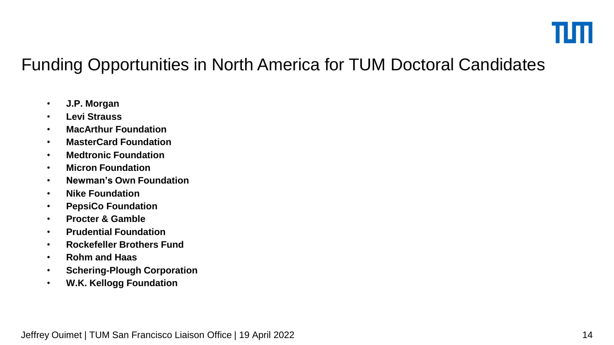- **J.P. Morgan**
- **Levi Strauss**
- **MacArthur Foundation**
- **MasterCard Foundation**
- **Medtronic Foundation**
- **Micron Foundation**
- **Newman's Own Foundation**
- **Nike Foundation**
- **PepsiCo Foundation**
- **Procter & Gamble**
- **Prudential Foundation**
- **Rockefeller Brothers Fund**
- **Rohm and Haas**
- **Schering-Plough Corporation**
- **W.K. Kellogg Foundation**